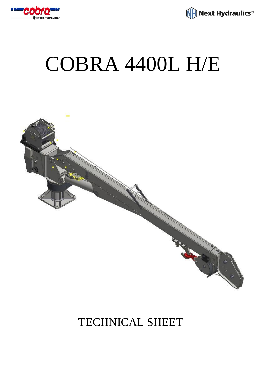

Next Hydraulics<sup>®</sup>

## COBRA 4400L H/E



## TECHNICAL SHEET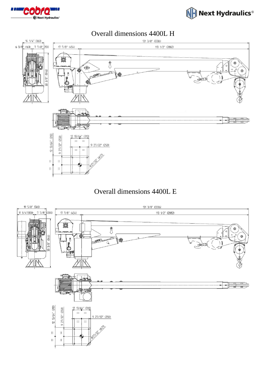





## Overall dimensions 4400L E

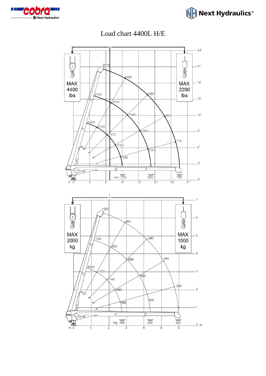



Load chart 4400L H/E

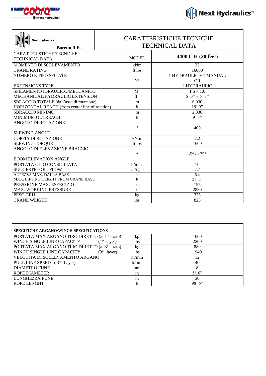

| $H$ Next Hydraulics $^\circ$ |  |  |
|------------------------------|--|--|

| <b>Next Hydraulics</b><br><b>Boretto R.E.</b>   | <b>CARATTERISTICHE TECNICHE</b><br><b>TECHNICAL DATA</b> |              |                              |
|-------------------------------------------------|----------------------------------------------------------|--------------|------------------------------|
| <b>CARATTERISTICHE TECNICHE</b>                 |                                                          |              | 4400 L H (20 feet)           |
| TECHNICAL DATA                                  |                                                          | <b>MODEL</b> |                              |
| MOMENTO DI SOLLEVAMENTO                         |                                                          | kNm          | 22                           |
| <b>CRANE RATING</b>                             |                                                          | ft.lbs       | 16000                        |
| NUMERO E TIPO SFILATE                           |                                                          |              | 1 HYDRAULIC + 1 MANUAL       |
|                                                 |                                                          | $N^{\circ}$  | <b>OR</b>                    |
| <b>EXTENSIONS TYPE</b>                          |                                                          |              | 2 HYDRAULIC                  |
| SFILAMENTO IDRAULICO/MECCANICO                  |                                                          | M            | $1.6 + 1.6$                  |
| MECHANICAL/HYDRAULIC EXTENSION                  |                                                          | ft           | $5'3'' + 5'3''$              |
| SBRACCIO TOTALE (dall'asse di rotazione)        |                                                          | m            | 6.030                        |
| HORIZONTAL REACH (from center line of rotation) |                                                          | ft           | $19'$ 9"                     |
| <b>SBRACCIO MINIMO</b>                          |                                                          | m            | 2.830                        |
| MINIMUM OUTREACH                                |                                                          | ft           | 9'3"                         |
| <b>ANGOLO DI ROTAZIONE</b>                      |                                                          |              |                              |
|                                                 |                                                          | $\circ$      | 400                          |
| <b>SLEWING ANGLE</b>                            |                                                          |              |                              |
| <b>COPPIA DI ROTAZIONE</b>                      |                                                          | kNm          | 2.2                          |
| <b>SLEWING TORQUE</b>                           |                                                          | ft.lbs       | 1600                         |
| ANGOLO DI ELEVAZIONE BRACCIO                    |                                                          |              |                              |
|                                                 |                                                          | $\circ$      | $-5^{\circ}$ / $+75^{\circ}$ |
| <b>BOOM ELEVATION ANGLE</b>                     |                                                          |              |                              |
| PORTATA OLIO CONSIGLIATA                        |                                                          | lt/min       | 10                           |
| <b>SUGGESTED OIL FLOW</b>                       |                                                          | U.S.gal      | 2.7                          |
| ALTEZZA MAX. DALLA BASE                         |                                                          | m            | 6.4                          |
| MAX. LIFTING HEIGHT FROM CRANE BASE             |                                                          | ft           | 21'0''                       |
| PRESSIONE MAX. ESERCIZIO                        |                                                          | bar          | 195                          |
| <b>MAX. WORKING PRESSURE</b>                    |                                                          | psi          | 2830                         |
| PESO GRU                                        |                                                          | kg           | 375                          |
| <b>CRANE WEIGHT</b>                             |                                                          | <b>lbs</b>   | 825                          |

| <b>SPECIFICHE ARGANO/WINCH SPECIFICATIONS</b>           |        |        |
|---------------------------------------------------------|--------|--------|
| PORTATA MAX ARGANO TIRO DIRETTO (al 1º strato)          | kg     | 1000   |
| WINCH SINGLE LINE CAPACITY<br>(1 <sup>st</sup> layer)   | lbs    | 2200   |
| PORTATA MAX ARGANO TIRO DIRETTO (al 3º strato)          | kg     | 880    |
| WINCH SINGLE LINE CAPACITY<br>3 <sup>rd</sup><br>layer) | lbs    | 1940   |
| VELOCITA DI SOLLEVAMENTO ARGANO                         | m/min  | 12     |
| PULL LINE SPEED (3rd Layer)                             | ft/min | 40     |
| <b>DIAMETRO FUNE</b>                                    | mm     | 8      |
| <b>ROPE DIAMETER</b>                                    | in     | 5/16"  |
| LUNGHEZZA FUNE                                          | m      | 30     |
| <b>ROPE LENGHT</b>                                      | ft     | 98'5'' |